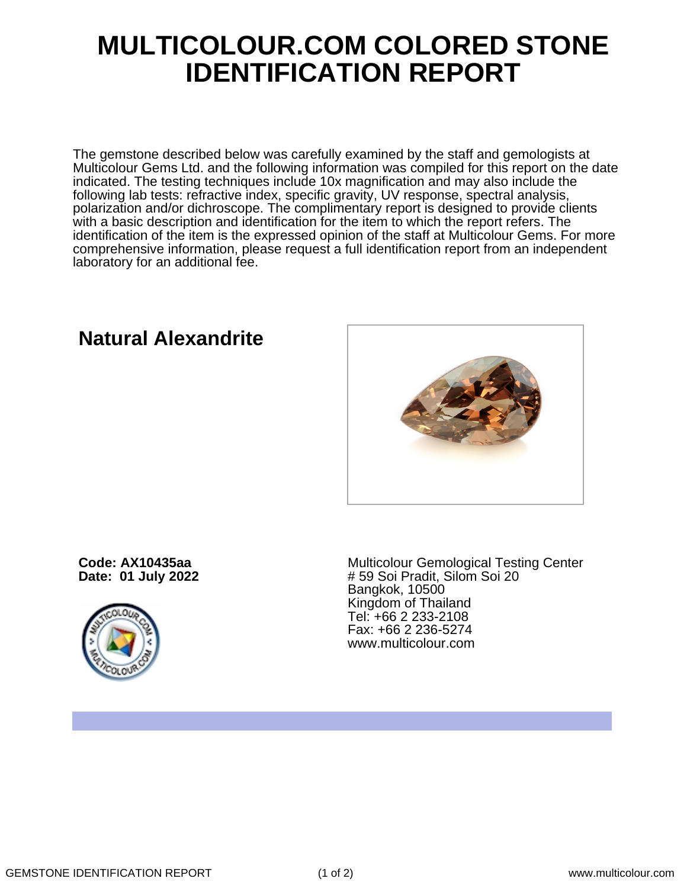## **MULTICOLOUR.COM COLORED STONE IDENTIFICATION REPORT**

The gemstone described below was carefully examined by the staff and gemologists at Multicolour Gems Ltd. and the following information was compiled for this report on the date indicated. The testing techniques include 10x magnification and may also include the following lab tests: refractive index, specific gravity, UV response, spectral analysis, polarization and/or dichroscope. The complimentary report is designed to provide clients with a basic description and identification for the item to which the report refers. The identification of the item is the expressed opinion of the staff at Multicolour Gems. For more comprehensive information, please request a full identification report from an independent laboratory for an additional fee.

## **Natural Alexandrite**

**Code: AX10435aa Date: 01 July 2022**



Multicolour Gemological Testing Center # 59 Soi Pradit, Silom Soi 20 Bangkok, 10500 Kingdom of Thailand Tel: +66 2 233-2108 Fax: +66 2 236-5274 www.multicolour.com